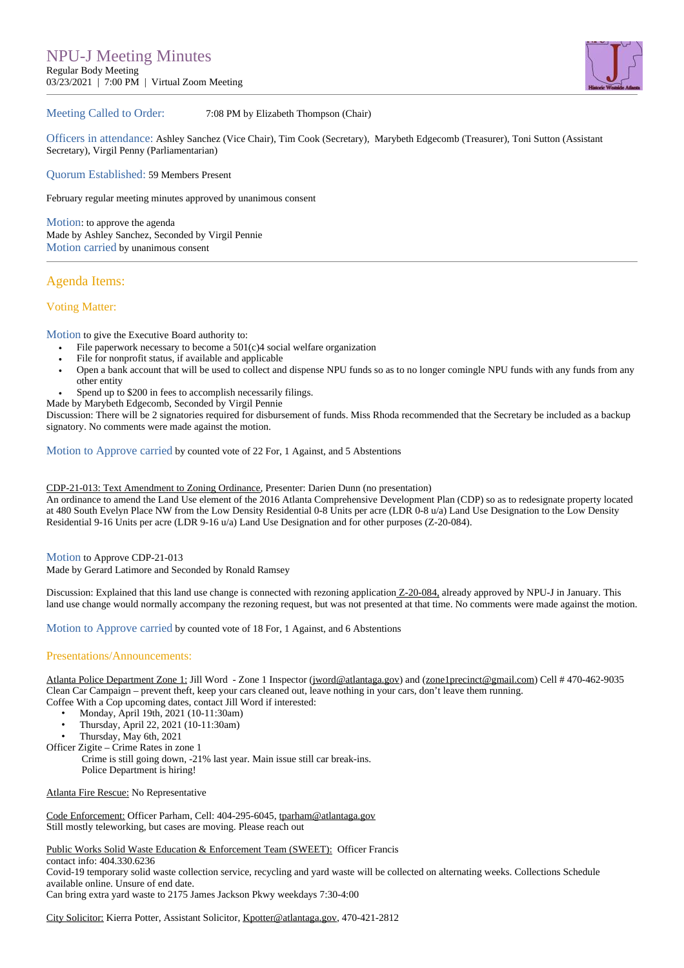

## Meeting Called to Order: 7:08 PM by Elizabeth Thompson (Chair)

Officers in attendance: Ashley Sanchez (Vice Chair), Tim Cook (Secretary), Marybeth Edgecomb (Treasurer), Toni Sutton (Assistant Secretary), Virgil Penny (Parliamentarian)

Quorum Established: 59 Members Present

February regular meeting minutes approved by unanimous consent

Motion: to approve the agenda Made by Ashley Sanchez, Seconded by Virgil Pennie Motion carried by unanimous consent

# Agenda Items:

## Voting Matter:

Motion to give the Executive Board authority to:

- File paperwork necessary to become a 501(c)4 social welfare organization
- File for nonprofit status, if available and applicable
- $\ddot{\phantom{a}}$ Open a bank account that will be used to collect and dispense NPU funds so as to no longer comingle NPU funds with any funds from any other entity
- Spend up to \$200 in fees to accomplish necessarily filings.
- Made by Marybeth Edgecomb, Seconded by Virgil Pennie

Discussion: There will be 2 signatories required for disbursement of funds. Miss Rhoda recommended that the Secretary be included as a backup signatory. No comments were made against the motion.

Motion to Approve carried by counted vote of 22 For, 1 Against, and 5 Abstentions

#### CDP-21-013: Text Amendment to Zoning Ordinance, Presenter: Darien Dunn (no presentation)

An ordinance to amend the Land Use element of the 2016 Atlanta Comprehensive Development Plan (CDP) so as to redesignate property located at 480 South Evelyn Place NW from the Low Density Residential 0-8 Units per acre (LDR 0-8 u/a) Land Use Designation to the Low Density Residential 9-16 Units per acre (LDR 9-16 u/a) Land Use Designation and for other purposes (Z-20-084).

Motion to Approve CDP-21-013

Made by Gerard Latimore and Seconded by Ronald Ramsey

Discussion: Explained that this land use change is connected with rezoning application Z-20-084, already approved by NPU-J in January. This land use change would normally accompany the rezoning request, but was not presented at that time. No comments were made against the motion.

Motion to Approve carried by counted vote of 18 For, 1 Against, and 6 Abstentions

#### Presentations/Announcements:

Atlanta Police Department Zone 1: Jill Word - Zone 1 Inspector [\(jword@atlantaga.gov\)](mailto:jword@atlantaga.gov) and ([zone1precinct@gmail.com\)](mailto:zone1precinct@gmail.com) Cell # 470-462-9035 Clean Car Campaign – prevent theft, keep your cars cleaned out, leave nothing in your cars, don't leave them running. Coffee With a Cop upcoming dates, contact Jill Word if interested:

- 
- Monday, April 19th, 2021 (10-11:30am)<br>• Thursday, April 22, 2021 (10-11:30am)
- Thursday, April 22, 2021 (10-11:30am)
- Thursday, May 6th, 2021

Officer Zigite – Crime Rates in zone 1

 Crime is still going down, -21% last year. Main issue still car break-ins. Police Department is hiring!

Atlanta Fire Rescue: No Representative

Code Enforcement: Officer Parham, Cell: 404-295-6045, [tparham@atlantaga.gov](mailto:tparham@atlantaga.gov) Still mostly teleworking, but cases are moving. Please reach out

Public Works Solid Waste Education & Enforcement Team (SWEET): Officer Francis

contact info: 404.330.6236 Covid-19 temporary solid waste collection service, recycling and yard waste will be collected on alternating weeks. Collections Schedule available online. Unsure of end date.

Can bring extra yard waste to 2175 James Jackson Pkwy weekdays 7:30-4:00

City Solicitor: Kierra Potter, Assistant Solicitor, [Kpotter@atlantaga.gov](mailto:Kpotter@atlantaga.gov), 470-421-2812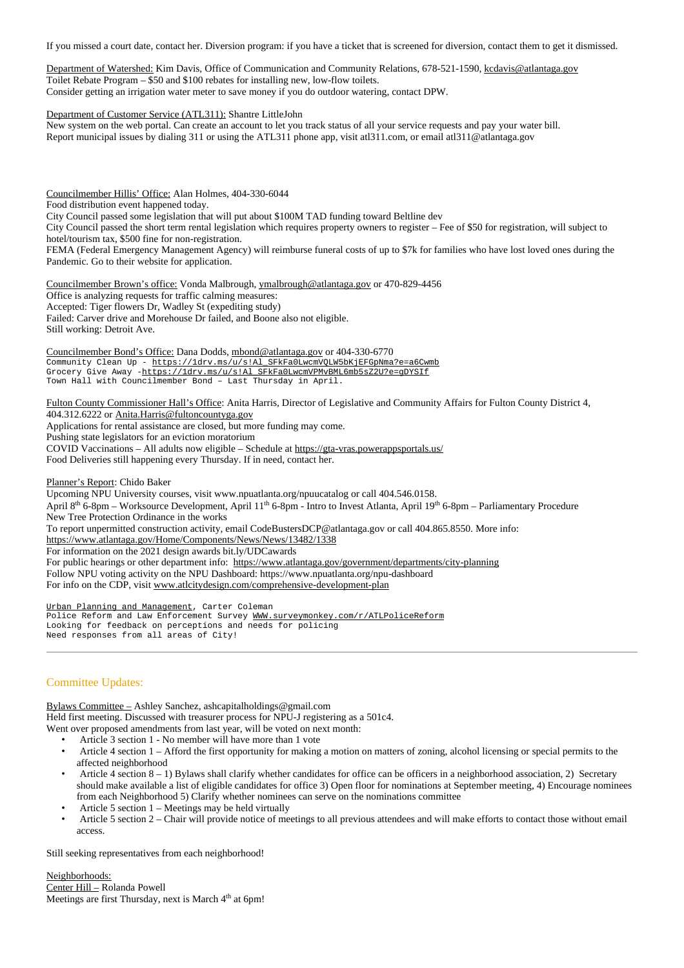If you missed a court date, contact her. Diversion program: if you have a ticket that is screened for diversion, contact them to get it dismissed.

Department of Watershed: Kim Davis, Office of Communication and Community Relations, 678-521-1590, [kcdavis@atlantaga.gov](mailto:kcdavis@atlantaga.gov) Toilet Rebate Program – \$50 and \$100 rebates for installing new, low-flow toilets. Consider getting an irrigation water meter to save money if you do outdoor watering, contact DPW.

Department of Customer Service (ATL311): Shantre LittleJohn

New system on the web portal. Can create an account to let you track status of all your service requests and pay your water bill. Report municipal issues by dialing 311 or using the ATL311 phone app, visit atl311.com, or email atl311@atlantaga.gov

Councilmember Hillis' Office: Alan Holmes, 404-330-6044

Food distribution event happened today.

City Council passed some legislation that will put about \$100M TAD funding toward Beltline dev

City Council passed the short term rental legislation which requires property owners to register – Fee of \$50 for registration, will subject to hotel/tourism tax, \$500 fine for non-registration.

FEMA (Federal Emergency Management Agency) will reimburse funeral costs of up to \$7k for families who have lost loved ones during the Pandemic. Go to their website for application.

Councilmember Brown's office: Vonda Malbrough, [ymalbrough@atlantaga.gov](mailto:ymalbrough@atlantaga.gov) or 470-829-4456 Office is analyzing requests for traffic calming measures: Accepted: Tiger flowers Dr, Wadley St (expediting study) Failed: Carver drive and Morehouse Dr failed, and Boone also not eligible. Still working: Detroit Ave.

Councilmember Bond's Office: Dana Dodds, [mbond@atlantaga.gov](mailto:mbond@atlantaga.gov) or 404-330-6770 Community Clean Up - [https://1drv.ms/u/s!Al\\_SFkFa0LwcmVQLW5bKjEFGpNma?e=a6Cwmb](https://1drv.ms/u/s!Al_SFkFa0LwcmVQLW5bKjEFGpNma?e=a6Cwmb) Grocery Give Away -https://1drv.ms/u/s!Al\_SFkFa0LwcmVPMvBML6mb5sZ2U?e=qDYSIf Town Hall with Councilmember Bond – Last Thursday in April.

Fulton County Commissioner Hall's Office: Anita Harris, Director of Legislative and Community Affairs for Fulton County District 4, 404.312.6222 or [Anita.Harris@fultoncountyga.gov](mailto:Anita.Harris@fultoncountyga.gov)

Applications for rental assistance are closed, but more funding may come.

Pushing state legislators for an eviction moratorium COVID Vaccinations – All adults now eligible – Schedule at <https://gta-vras.powerappsportals.us/> Food Deliveries still happening every Thursday. If in need, contact her.

Planner's Report: Chido Baker

Upcoming NPU University courses, visit www.npuatlanta.org/npuucatalog or call 404.546.0158. April 8<sup>th</sup> 6-8pm – Worksource Development, April 11<sup>th</sup> 6-8pm - Intro to Invest Atlanta, April 19<sup>th</sup> 6-8pm – Parliamentary Procedure New Tree Protection Ordinance in the works To report unpermitted construction activity, email CodeBustersDCP@atlantaga.gov or call 404.865.8550. More info: <https://www.atlantaga.gov/Home/Components/News/News/13482/1338> For information on the 2021 design awards bit.ly/UDCawards For public hearings or other department info: <https://www.atlantaga.gov/government/departments/city-planning> Follow NPU voting activity on the NPU Dashboard: https://www.npuatlanta.org/npu-dashboard For info on the CDP, visit [www.atlcitydesign.com/comprehensive-development-plan](http://www.atlcitydesign.com/comprehensive-development-plan)

Urban Planning and Management, Carter Coleman Police Reform and Law Enforcement Survey [WWW.surveymonkey.com/r/ATLPoliceReform](http://www.surveymonkey.com/r/ATLPoliceReform) Looking for feedback on perceptions and needs for policing Need responses from all areas of City!

# Committee Updates:

Bylaws Committee – Ashley Sanchez, ashcapitalholdings@gmail.com Held first meeting. Discussed with treasurer process for NPU-J registering as a 501c4. Went over proposed amendments from last year, will be voted on next month:

- Article 3 section 1 No member will have more than 1 vote
- Article 4 section 1 Afford the first opportunity for making a motion on matters of zoning, alcohol licensing or special permits to the affected neighborhood
- Article 4 section 8 1) Bylaws shall clarify whether candidates for office can be officers in a neighborhood association, 2) Secretary should make available a list of eligible candidates for office 3) Open floor for nominations at September meeting, 4) Encourage nominees from each Neighborhood 5) Clarify whether nominees can serve on the nominations committee
- Article 5 section  $1 -$  Meetings may be held virtually
- Article 5 section 2 Chair will provide notice of meetings to all previous attendees and will make efforts to contact those without email access.

Still seeking representatives from each neighborhood!

Neighborhoods:<br>Center Hill – Rolanda Powell <mark>Center Hill –</mark> Rolanda Powell<br>Meetings are first Thursday, next is March 4<sup>th</sup> at 6pm!